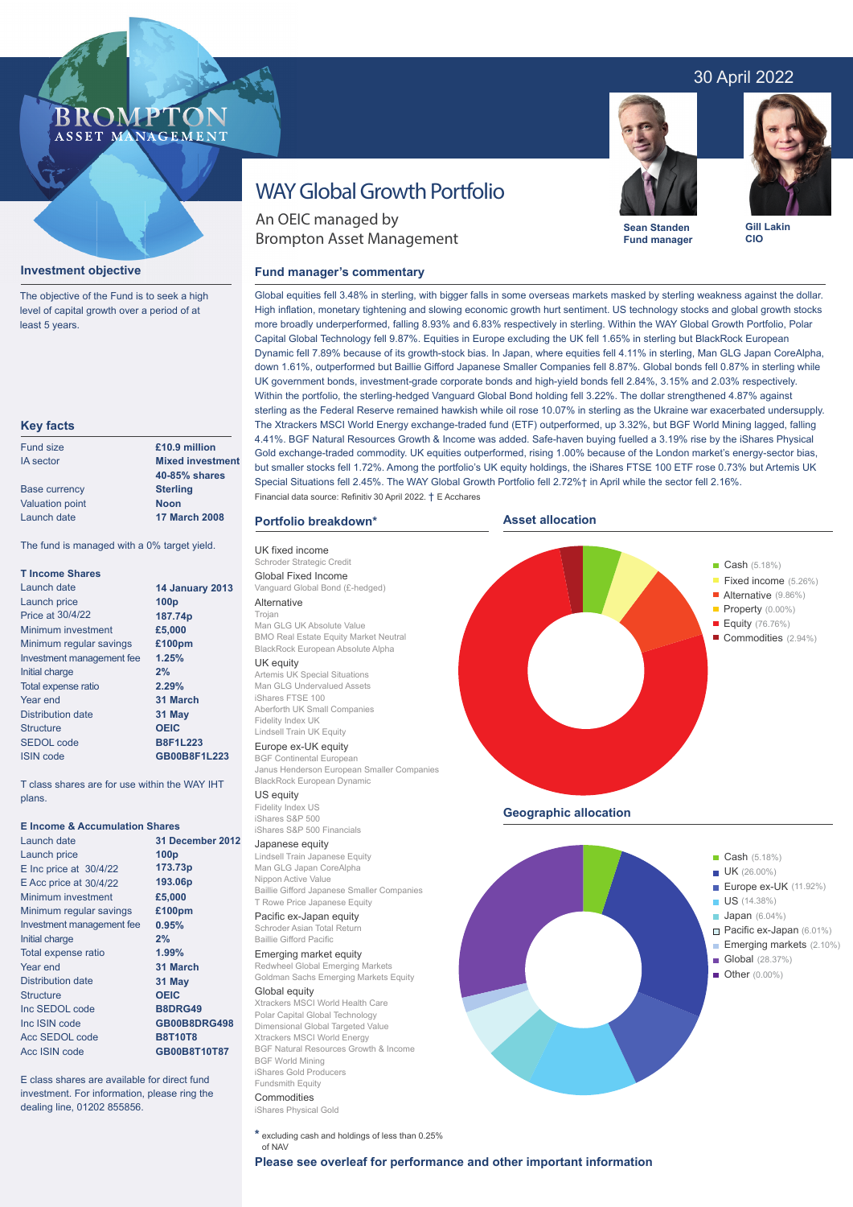# 30 April 2022



**Sean Standen Fund manager**

# **Investment objective**

The objective of the Fund is to seek a high level of capital growth over a period of at least 5 years.

**BROMP** 

ASSET MANAGEMENT

#### **Key facts**

| £10.9 million           |
|-------------------------|
| <b>Mixed investment</b> |
| 40-85% shares           |
| <b>Sterling</b>         |
| <b>Noon</b>             |
| <b>17 March 2008</b>    |
|                         |

The fund is managed with a 0% target yield.

| <b>T</b> Income Shares    |                        |
|---------------------------|------------------------|
| Launch date               | <b>14 January 2013</b> |
| Launch price              | 100 <sub>p</sub>       |
| <b>Price at 30/4/22</b>   | 187.74p                |
| Minimum investment        | £5,000                 |
| Minimum regular savings   | £100pm                 |
| Investment management fee | 1.25%                  |
| Initial charge            | 2%                     |
| Total expense ratio       | 2.29%                  |
| Year end                  | 31 March               |
| <b>Distribution date</b>  | 31 May                 |
| Structure                 | <b>OEIC</b>            |
| SEDOL code                | <b>B8F1L223</b>        |
| <b>ISIN</b> code          | GB00B8F1L223           |

T class shares are for use within the WAY IHT plans.

## **E Income & Accumulation Shares**

| Launch date                | 31 December 2012 |  |  |
|----------------------------|------------------|--|--|
| Launch price               | 100 <sub>p</sub> |  |  |
| $E$ Inc price at $30/4/22$ | 173.73p          |  |  |
| $E$ Acc price at $30/4/22$ | 193.06p          |  |  |
| Minimum investment         | £5,000           |  |  |
| Minimum regular savings    | £100pm           |  |  |
| Investment management fee  | 0.95%            |  |  |
| Initial charge             | 2%               |  |  |
| Total expense ratio        | 1.99%            |  |  |
| Year end                   | 31 March         |  |  |
| <b>Distribution date</b>   | 31 May           |  |  |
| <b>Structure</b>           | <b>OEIC</b>      |  |  |
| Inc SEDOL code             | <b>B8DRG49</b>   |  |  |
| Inc ISIN code              | GB00B8DRG498     |  |  |
| Acc SEDOL code             | <b>B8T10T8</b>   |  |  |
| Acc ISIN code              | GB00B8T10T87     |  |  |

E class shares are available for direct fund investment. For information, please ring the dealing line, 01202 855856.

# WAY Global Growth Portfolio

An OEIC managed by Brompton Asset Management

# **Fund manager's commentary**



BGF Natural Resources Growth & Income Fundsmith Equity

Commodities iShares Physical Gold

**\*** excluding cash and holdings of less than 0.25%

of NAV

High inflation, monetary tightening and slowing economic growth hurt sentiment. US technology stocks and global growth stocks more broadly underperformed, falling 8.93% and 6.83% respectively in sterling. Within the WAY Global Growth Portfolio, Polar Capital Global Technology fell 9.87%. Equities in Europe excluding the UK fell 1.65% in sterling but BlackRock European Dynamic fell 7.89% because of its growth-stock bias. In Japan, where equities fell 4.11% in sterling, Man GLG Japan CoreAlpha, down 1.61%, outperformed but Baillie Gifford Japanese Smaller Companies fell 8.87%. Global bonds fell 0.87% in sterling while UK government bonds, investment-grade corporate bonds and high-yield bonds fell 2.84%, 3.15% and 2.03% respectively. Within the portfolio, the sterling-hedged Vanguard Global Bond holding fell 3.22%. The dollar strengthened 4.87% against sterling as the Federal Reserve remained hawkish while oil rose 10.07% in sterling as the Ukraine war exacerbated undersupply. The Xtrackers MSCI World Energy exchange-traded fund (ETF) outperformed, up 3.32%, but BGF World Mining lagged, falling 4.41%. BGF Natural Resources Growth & Income was added. Safe-haven buying fuelled a 3.19% rise by the iShares Physical Gold exchange-traded commodity. UK equities outperformed, rising 1.00% because of the London market's energy-sector bias, but smaller stocks fell 1.72%. Among the portfolio's UK equity holdings, the iShares FTSE 100 ETF rose 0.73% but Artemis UK Special Situations fell 2.45%. The WAY Global Growth Portfolio fell 2.72%† in April while the sector fell 2.16%. Financial data source: Refinitiv 30 April 2022. † E Acchares

Global equities fell 3.48% in sterling, with bigger falls in some overseas markets masked by sterling weakness against the dollar.

# **Portfolio breakdown\***

UK fixed income .<br>Schroder Strategic Credit Global Fixed Income Vanguard Global Bond (£-hedged) Alternative

# Trojan

Man GLG UK Absolute Value BMO Real Estate Equity Market Neutral BlackRock European Absolute Alpha UK equity

Artemis UK Special Situations Man GLG Undervalued Assets iShares FTSE 100 Aberforth UK Small Companies Fidelity Index UK Lindsell Train UK Equity

# Europe ex-UK equity

BGF Continental European Janus Henderson European Smaller Companies BlackRock European Dynamic

US equity Fidelity Index US iShares S&P 500 iShares S&P 500 Financials

#### Japanese equity

Lindsell Train Japanese Equity Man GLG Japan CoreAlpha Nippon Active Value Baillie Gifford Japanese Smaller Companies T Rowe Price Japanese Equity

### Pacific ex-Japan equity Schroder Asian Total Return

Baillie Gifford Pacific Emerging market equity

Redwheel Global Emerging Markets Goldman Sachs Emerging Markets Equity

Global equity Xtrackers MSCI World Health Care Polar Capital Global Technology Dimensional Global Targeted Value Xtrackers MSCI World Energy BGF World Mining iShares Gold Producers



**Gill Lakin CIO**



**Please see overleaf for performance and other important information**